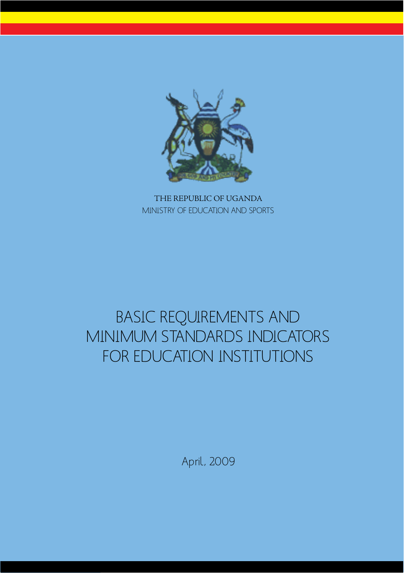

THE REPUBLIC OF UGANDA MINISTRY OF EDUCATION AND SPORTS

#### BASIC REQUIREMENTS AND MINIMUM STANDARDS INDICATORS FOR EDUCATION INSTITUTIONS

April, 2009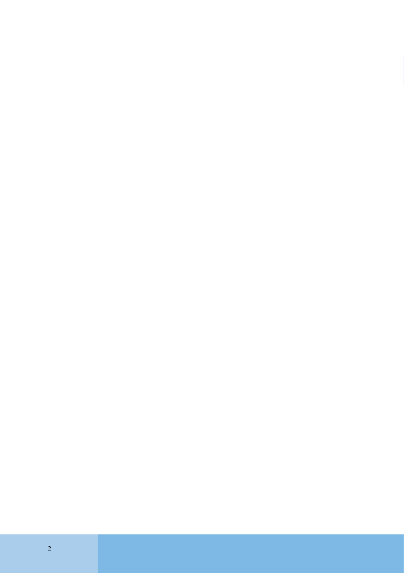Basic Requirements and Minimum Standards Indicators for Education Institutions **3**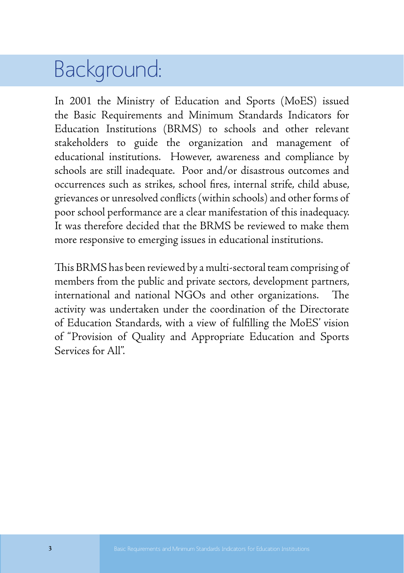#### Background:

In 2001 the Ministry of Education and Sports (MoES) issued the Basic Requirements and Minimum Standards Indicators for Education Institutions (BRMS) to schools and other relevant stakeholders to guide the organization and management of educational institutions. However, awareness and compliance by schools are still inadequate. Poor and/or disastrous outcomes and occurrences such as strikes, school fires, internal strife, child abuse, grievances or unresolved conflicts (within schools) and other forms of poor school performance are a clear manifestation of this inadequacy. It was therefore decided that the BRMS be reviewed to make them more responsive to emerging issues in educational institutions.

This BRMS has been reviewed by a multi-sectoral team comprising of members from the public and private sectors, development partners, international and national NGOs and other organizations. The activity was undertaken under the coordination of the Directorate of Education Standards, with a view of fulfilling the MoES' vision of "Provision of Quality and Appropriate Education and Sports Services for All".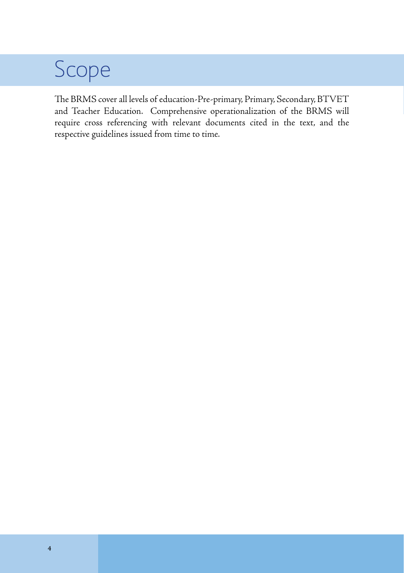### Scope

The BRMS cover all levels of education-Pre-primary, Primary, Secondary, BTVET and Teacher Education. Comprehensive operationalization of the BRMS will require cross referencing with relevant documents cited in the text, and the respective guidelines issued from time to time.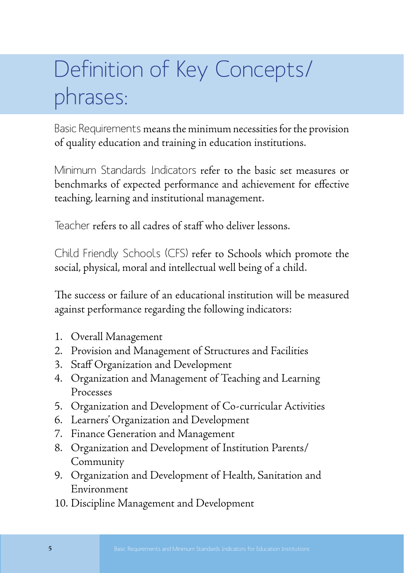### Definition of Key Concepts/ phrases:

Basic Requirements means the minimum necessities for the provision of quality education and training in education institutions.

Minimum Standards Indicators refer to the basic set measures or benchmarks of expected performance and achievement for effective teaching, learning and institutional management.

Teacher refers to all cadres of staff who deliver lessons.

Child Friendly Schools (CFS) refer to Schools which promote the social, physical, moral and intellectual well being of a child.

The success or failure of an educational institution will be measured against performance regarding the following indicators:

- 1. Overall Management
- 2. Provision and Management of Structures and Facilities
- 3. Staff Organization and Development
- 4. Organization and Management of Teaching and Learning Processes
- 5. Organization and Development of Co-curricular Activities
- 6. Learners' Organization and Development
- 7. Finance Generation and Management
- 8. Organization and Development of Institution Parents/ Community
- 9. Organization and Development of Health, Sanitation and Environment
- 10. Discipline Management and Development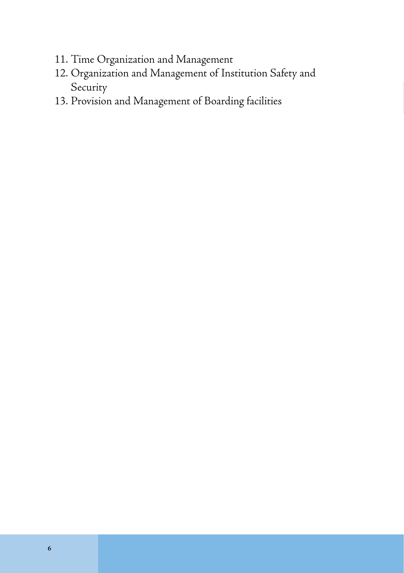- 11. Time Organization and Management
- 12. Organization and Management of Institution Safety and Security
- 13. Provision and Management of Boarding facilities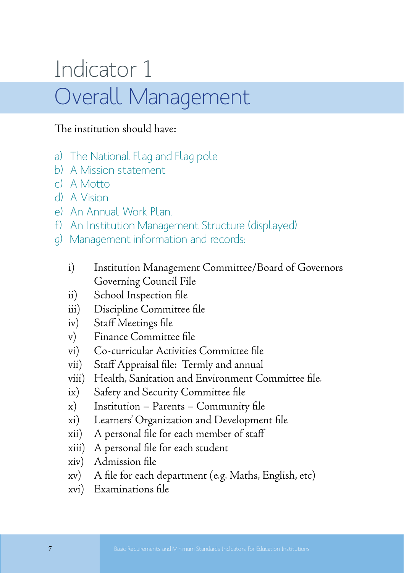### Indicator 1 Overall Management

- a) The National Flag and Flag pole
- b) A Mission statement
- c) A Motto
- d) A Vision
- e) An Annual Work Plan.
- f) An Institution Management Structure (displayed)
- g) Management information and records:
	- i) Institution Management Committee/Board of Governors Governing Council File
	- ii) School Inspection file
	- iii) Discipline Committee file
	- iv) Staff Meetings file
	- v) Finance Committee file
	- vi) Co-curricular Activities Committee file
	- vii) Staff Appraisal file: Termly and annual
	- viii) Health, Sanitation and Environment Committee file.
	- ix) Safety and Security Committee file
	- x) Institution Parents Community file
	- xi) Learners' Organization and Development file
	- xii) A personal file for each member of staff
	- xiii) A personal file for each student
	- xiv) Admission file
	- xv) A file for each department (e.g. Maths, English, etc)
	- xvi) Examinations file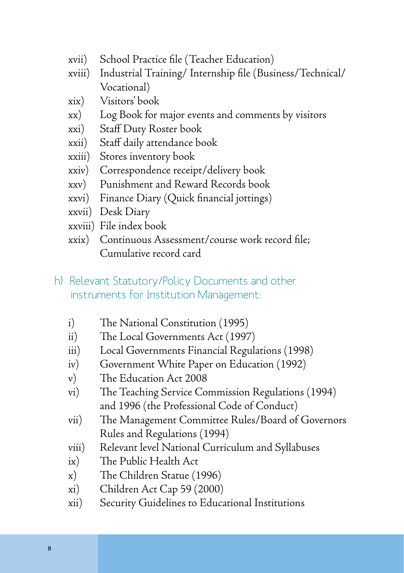- xvii) School Practice file (Teacher Education)
- xviii) Industrial Training/ Internship file (Business/Technical/ Vocational)
- xix) Visitors' book
- xx) Log Book for major events and comments by visitors
- xxi) Staff Duty Roster book
- xxii) Staff daily attendance book
- xxiii) Stores inventory book
- xxiv) Correspondence receipt/delivery book
- xxv) Punishment and Reward Records book
- xxvi) Finance Diary (Quick financial jottings)
- xxvii) Desk Diary
- xxviii) File index book
- xxix) Continuous Assessment/course work record file; Cumulative record card
- h) Relevant Statutory/Policy Documents and other instruments for Institution Management:
	- i) The National Constitution (1995)
	- ii) The Local Governments Act (1997)
	- iii) Local Governments Financial Regulations (1998)
	- iv) Government White Paper on Education (1992)
	- v) The Education Act 2008
	- vi) The Teaching Service Commission Regulations (1994) and 1996 (the Professional Code of Conduct)
	- vii) The Management Committee Rules/Board of Governors Rules and Regulations (1994)
	- viii) Relevant level National Curriculum and Syllabuses
	- ix) The Public Health Act
	- x) The Children Statue (1996)
	- xi) Children Act Cap 59 (2000)
	- xii) Security Guidelines to Educational Institutions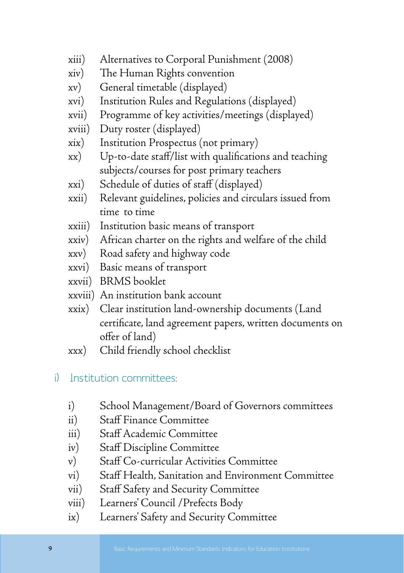- xiii) Alternatives to Corporal Punishment (2008)
- xiv) The Human Rights convention
- xv) General timetable (displayed)
- xvi) Institution Rules and Regulations (displayed)
- xvii) Programme of key activities/meetings (displayed)
- xviii) Duty roster (displayed)
- xix) Institution Prospectus (not primary)
- xx) Up-to-date staff/list with qualifications and teaching subjects/courses for post primary teachers
- xxi) Schedule of duties of staff (displayed)
- xxii) Relevant guidelines, policies and circulars issued from time to time
- xxiii) Institution basic means of transport
- xxiv) African charter on the rights and welfare of the child
- xxv) Road safety and highway code
- xxvi) Basic means of transport
- xxvii) BRMS booklet
- xxviii) An institution bank account
- xxix) Clear institution land-ownership documents (Land certificate, land agreement papers, written documents on offer of land)
- xxx) Child friendly school checklist
- i) Institution committees:
	- i) School Management/Board of Governors committees
	- ii) Staff Finance Committee
	- iii) Staff Academic Committee
	- iv) Staff Discipline Committee
	- v) Staff Co-curricular Activities Committee
	- vi) Staff Health, Sanitation and Environment Committee
	- vii) Staff Safety and Security Committee
	- viii) Learners' Council /Prefects Body
	- ix) Learners' Safety and Security Committee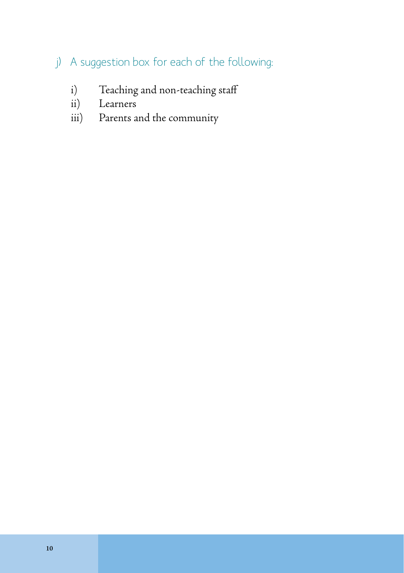#### j) A suggestion box for each of the following:

- i) Teaching and non-teaching staff<br>ii) Learners
- ii) Learners<br>iii) Parents a
- Parents and the community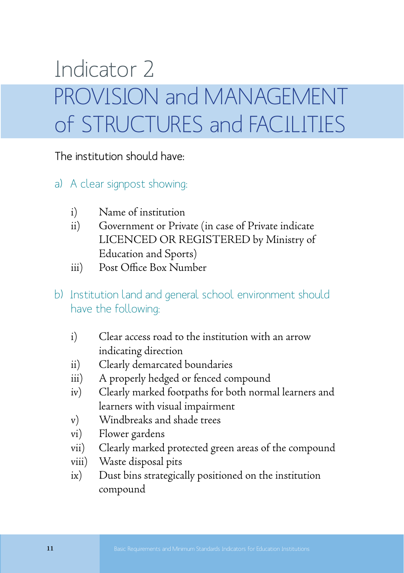### Indicator 2 PROVISION and MANAGEMENT of STRUCTURES and FACILITIES

- a) A clear signpost showing:
	- i) Name of institution
	- ii) Government or Private (in case of Private indicate LICENCED OR REGISTERED by Ministry of Education and Sports)
	- iii) Post Office Box Number
- b) Institution land and general school environment should have the following:
	- i) Clear access road to the institution with an arrow indicating direction
	- ii) Clearly demarcated boundaries
	- iii) A properly hedged or fenced compound
	- iv) Clearly marked footpaths for both normal learners and learners with visual impairment
	- v) Windbreaks and shade trees
	- vi) Flower gardens
	- vii) Clearly marked protected green areas of the compound
	- viii) Waste disposal pits
	- ix) Dust bins strategically positioned on the institution compound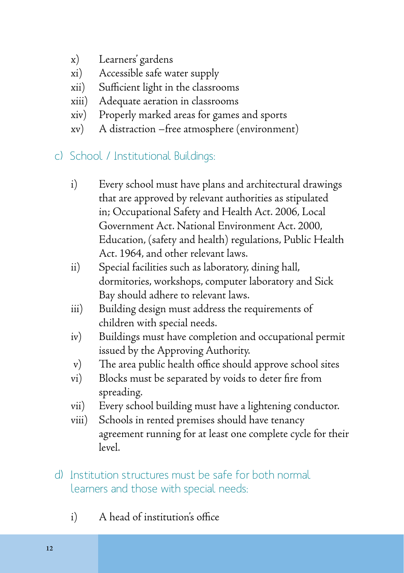- x) Learners' gardens
- xi) Accessible safe water supply
- xii) Sufficient light in the classrooms
- xiii) Adequate aeration in classrooms
- xiv) Properly marked areas for games and sports
- xv) A distraction –free atmosphere (environment)
- c) School / Institutional Buildings:
	- i) Every school must have plans and architectural drawings that are approved by relevant authorities as stipulated in; Occupational Safety and Health Act. 2006, Local Government Act. National Environment Act. 2000, Education, (safety and health) regulations, Public Health Act. 1964, and other relevant laws.
	- ii) Special facilities such as laboratory, dining hall, dormitories, workshops, computer laboratory and Sick Bay should adhere to relevant laws.
	- iii) Building design must address the requirements of children with special needs.
	- iv) Buildings must have completion and occupational permit issued by the Approving Authority.
	- v) The area public health office should approve school sites
	- vi) Blocks must be separated by voids to deter fire from spreading.
	- vii) Every school building must have a lightening conductor.
	- viii) Schools in rented premises should have tenancy agreement running for at least one complete cycle for their level.
- d) Institution structures must be safe for both normal learners and those with special needs:
	- i) A head of institution's office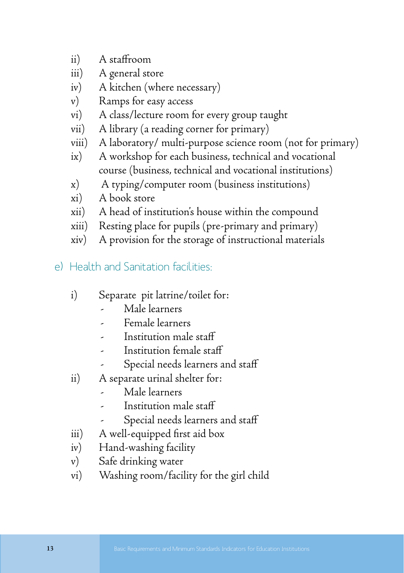- ii) A staffroom
- iii) A general store
- iv) A kitchen (where necessary)
- v) Ramps for easy access
- vi) A class/lecture room for every group taught
- vii) A library (a reading corner for primary)
- viii) A laboratory/ multi-purpose science room (not for primary)
- ix) A workshop for each business, technical and vocational course (business, technical and vocational institutions)
- x) A typing/computer room (business institutions)
- xi) A book store
- xii) A head of institution's house within the compound
- xiii) Resting place for pupils (pre-primary and primary)
- xiv) A provision for the storage of instructional materials
- e) Health and Sanitation facilities:
	- i) Separate pit latrine/toilet for:
		- Male learners
		- Female learners
		- Institution male staff
		- Institution female staff
		- Special needs learners and staff
	- ii) A separate urinal shelter for:
		- Male learners
		- Institution male staff
		- Special needs learners and staff
	- iii) A well-equipped first aid box
	- iv) Hand-washing facility
	- v) Safe drinking water
	- vi) Washing room/facility for the girl child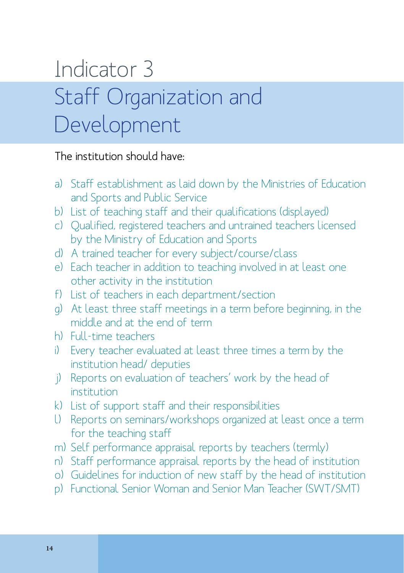# Indicator 3 Staff Organization and Development

- a) Staff establishment as laid down by the Ministries of Education and Sports and Public Service
- b) List of teaching staff and their qualifications (displayed)
- c) Qualified, registered teachers and untrained teachers licensed by the Ministry of Education and Sports
- d) A trained teacher for every subject/course/class
- e) Each teacher in addition to teaching involved in at least one other activity in the institution
- f) List of teachers in each department/section
- g) At least three staff meetings in a term before beginning, in the middle and at the end of term
- h) Full-time teachers
- i) Every teacher evaluated at least three times a term by the institution head/ deputies
- j) Reports on evaluation of teachers' work by the head of institution
- k) List of support staff and their responsibilities
- l) Reports on seminars/workshops organized at least once a term for the teaching staff
- m) Self performance appraisal reports by teachers (termly)
- n) Staff performance appraisal reports by the head of institution
- o) Guidelines for induction of new staff by the head of institution
- p) Functional Senior Woman and Senior Man Teacher (SWT/SMT)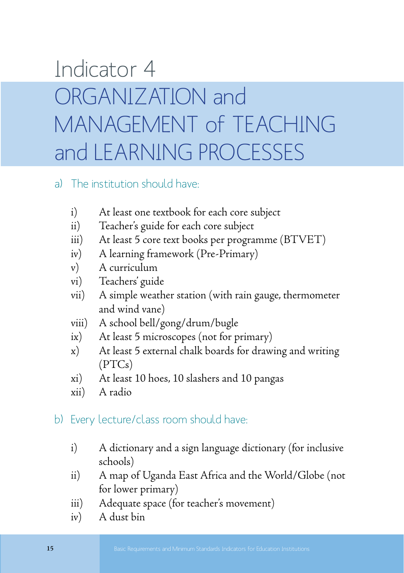# Indicator 4 ORGANIZATION and MANAGEMENT of TEACHING and LEARNING PROCESSES

#### a) The institution should have:

- i) At least one textbook for each core subject
- ii) Teacher's guide for each core subject
- iii) At least 5 core text books per programme (BTVET)
- iv) A learning framework (Pre-Primary)
- v) A curriculum
- vi) Teachers' guide
- vii) A simple weather station (with rain gauge, thermometer and wind vane)
- viii) A school bell/gong/drum/bugle
- ix) At least 5 microscopes (not for primary)
- x) At least 5 external chalk boards for drawing and writing  $(PTCs)$
- xi) At least 10 hoes, 10 slashers and 10 pangas
- xii) A radio

#### b) Every lecture/class room should have:

- i) A dictionary and a sign language dictionary (for inclusive schools)
- ii) A map of Uganda East Africa and the World/Globe (not for lower primary)
- iii) Adequate space (for teacher's movement)
- iv) A dust bin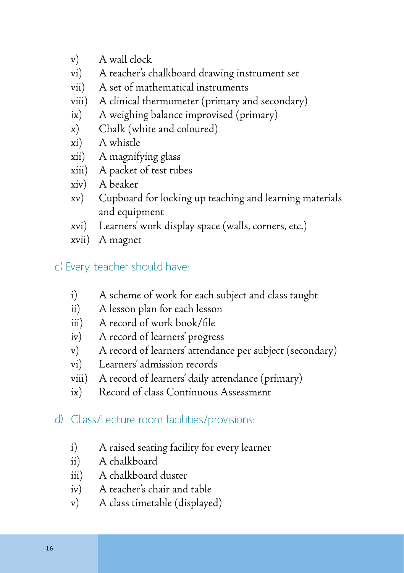- v) A wall clock
- vi) A teacher's chalkboard drawing instrument set
- vii) A set of mathematical instruments
- viii) A clinical thermometer (primary and secondary)
- ix) A weighing balance improvised (primary)
- x) Chalk (white and coloured)
- xi) A whistle
- xii) A magnifying glass
- xiii) A packet of test tubes
- xiv) A beaker
- xv) Cupboard for locking up teaching and learning materials and equipment
- xvi) Learners' work display space (walls, corners, etc.)
- xvii) A magnet

#### c) Every teacher should have:

- i) A scheme of work for each subject and class taught
- ii) A lesson plan for each lesson
- iii) A record of work book/file
- iv) A record of learners' progress
- v) A record of learners' attendance per subject (secondary)
- vi) Learners' admission records
- viii) A record of learners' daily attendance (primary)
- ix) Record of class Continuous Assessment

#### d) Class/Lecture room facilities/provisions:

- i) A raised seating facility for every learner
- ii) A chalkboard
- iii) A chalkboard duster
- iv) A teacher's chair and table
- v) A class timetable (displayed)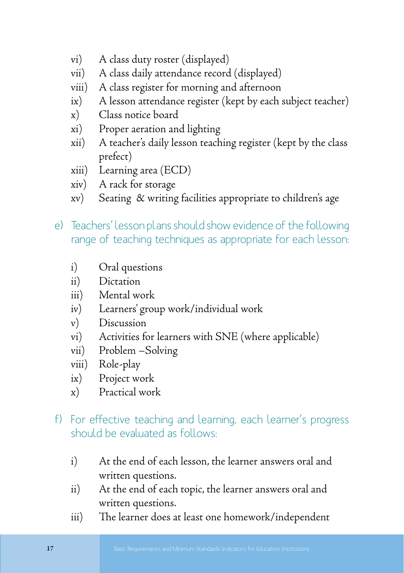- vi) A class duty roster (displayed)
- vii) A class daily attendance record (displayed)
- viii) A class register for morning and afternoon
- ix) A lesson attendance register (kept by each subject teacher)
- x) Class notice board
- xi) Proper aeration and lighting
- xii) A teacher's daily lesson teaching register (kept by the class prefect)
- xiii) Learning area (ECD)
- xiv) A rack for storage
- xv) Seating & writing facilities appropriate to children's age
- e) Teachers' lesson plans should show evidence of the following range of teaching techniques as appropriate for each lesson:
	- i) Oral questions
	- ii) Dictation
	- iii) Mental work
	- iv) Learners' group work/individual work
	- v) Discussion
	- vi) Activities for learners with SNE (where applicable)
	- vii) Problem –Solving
	- viii) Role-play
	- ix) Project work
	- x) Practical work
- f) For effective teaching and learning, each learner's progress should be evaluated as follows:
	- i) At the end of each lesson, the learner answers oral and written questions.
	- ii) At the end of each topic, the learner answers oral and written questions.
	- iii) The learner does at least one homework/independent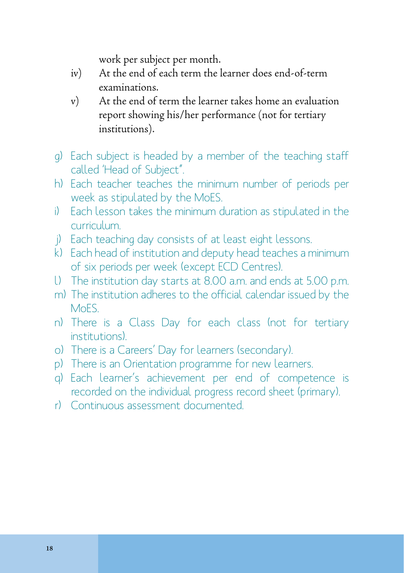work per subject per month.

- iv) At the end of each term the learner does end-of-term examinations.
- v) At the end of term the learner takes home an evaluation report showing his/her performance (not for tertiary institutions).
- g) Each subject is headed by a member of the teaching staff called 'Head of Subject".
- h) Each teacher teaches the minimum number of periods per week as stipulated by the MoES.
- i) Each lesson takes the minimum duration as stipulated in the curriculum.
- j) Each teaching day consists of at least eight lessons.
- k) Each head of institution and deputy head teaches a minimum of six periods per week (except ECD Centres).
- l) The institution day starts at 8.00 a.m. and ends at 5.00 p.m.
- m) The institution adheres to the official calendar issued by the Mo<sub>ES</sub>
- n) There is a Class Day for each class (not for tertiary institutions).
- o) There is a Careers' Day for learners (secondary).
- p) There is an Orientation programme for new learners.
- q) Each learner's achievement per end of competence is recorded on the individual progress record sheet (primary).
- r) Continuous assessment documented.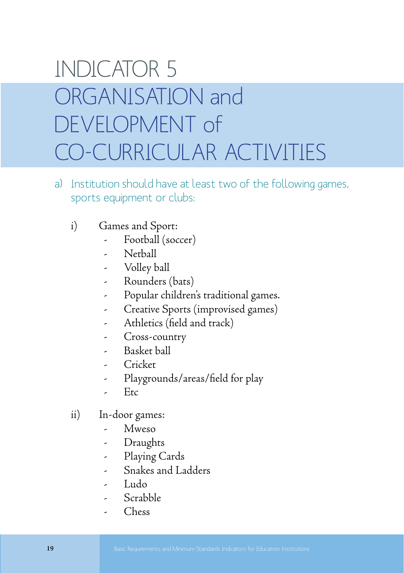# INDICATOR 5 ORGANISATION and DEVELOPMENT of CO-CURRICULAR ACTIVITIES

- a) Institution should have at least two of the following games, sports equipment or clubs:
	- i) Games and Sport:
		- Football (soccer)
		- Netball
		- Volley ball
		- Rounders (bats)
		- Popular children's traditional games.
		- Creative Sports (improvised games)
		- Athletics (field and track)
		- Cross-country
		- Basket ball
		- Cricket
		- Playgrounds/areas/field for play
		- $E_{tc}$
	- ii) In-door games:
		- Mweso
		- **Draughts**
		- Playing Cards
		- Snakes and Ladders
		- Ludo
		- Scrabble
		- Chess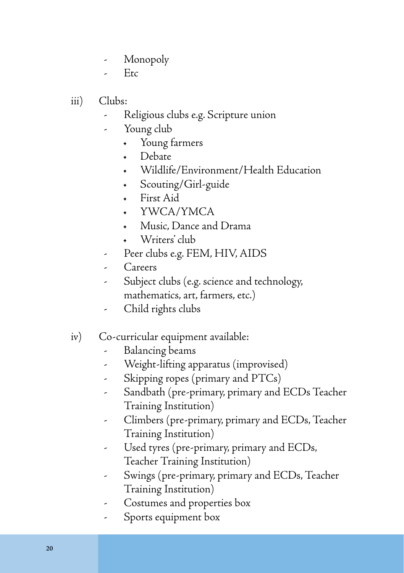- Monopoly
- Etc
- iii) Clubs:
	- Religious clubs e.g. Scripture union
	- Young club
		- • Young farmers
		- • Debate
		- • Wildlife/Environment/Health Education
		- • Scouting/Girl-guide
		- • First Aid
		- • YWCA/YMCA
		- • Music, Dance and Drama
		- • Writers'club
	- Peer clubs e.g. FEM, HIV, AIDS
	- Careers
	- Subject clubs (e.g. science and technology,
		- mathematics, art, farmers, etc.)
	- Child rights clubs
- iv) Co-curricular equipment available:
	- Balancing beams
	- Weight-lifting apparatus (improvised)
	- Skipping ropes (primary and PTCs)
	- Sandbath (pre-primary, primary and ECDs Teacher Training Institution)
	- Climbers (pre-primary, primary and ECDs, Teacher Training Institution)
	- Used tyres (pre-primary, primary and ECDs, Teacher Training Institution)
	- Swings (pre-primary, primary and ECDs, Teacher Training Institution)
	- Costumes and properties box
	- Sports equipment box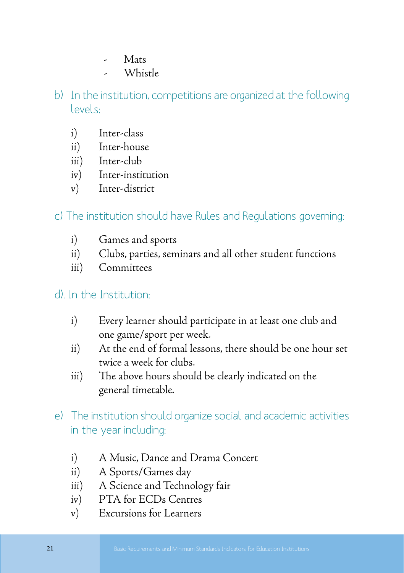- Mats
- Whistle
- b) In the institution, competitions are organized at the following levels:
	- i) Inter-class
	- ii) Inter-house
	- iii) Inter-club
	- iv) Inter-institution
	- v) Inter-district

c) The institution should have Rules and Regulations governing:

- i) Games and sports
- ii) Clubs, parties, seminars and all other student functions
- iii) Committees

#### d). In the Institution:

- i) Every learner should participate in at least one club and one game/sport per week.
- ii) At the end of formal lessons, there should be one hour set twice a week for clubs.
- iii) The above hours should be clearly indicated on the general timetable.
- e) The institution should organize social and academic activities in the year including:
	- i) A Music, Dance and Drama Concert
	- ii) A Sports/Games day
	- iii) A Science and Technology fair
	- iv) PTA for ECDs Centres
	- v) Excursions for Learners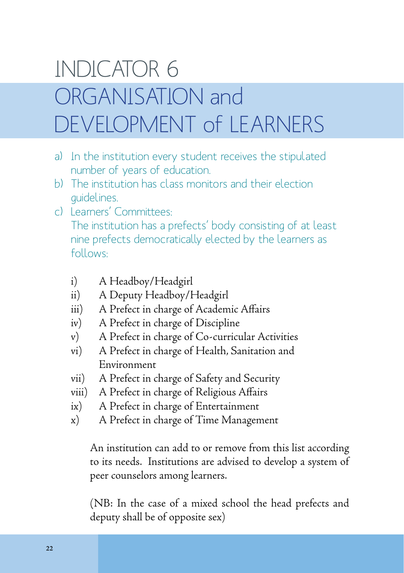### INDICATOR 6 ORGANISATION and DEVELOPMENT of LEARNERS

- a) In the institution every student receives the stipulated number of years of education.
- b) The institution has class monitors and their election guidelines.
- c) Learners' Committees: The institution has a prefects' body consisting of at least nine prefects democratically elected by the learners as follows:
	- i) A Headboy/Headgirl
	- ii) A Deputy Headboy/Headgirl
	- iii) A Prefect in charge of Academic Affairs
	- iv) A Prefect in charge of Discipline
	- v) A Prefect in charge of Co-curricular Activities
	- vi) A Prefect in charge of Health, Sanitation and Environment
	- vii) A Prefect in charge of Safety and Security
	- viii) A Prefect in charge of Religious Affairs
	- ix) A Prefect in charge of Entertainment
	- x) A Prefect in charge of Time Management

An institution can add to or remove from this list according to its needs. Institutions are advised to develop a system of peer counselors among learners.

(NB: In the case of a mixed school the head prefects and deputy shall be of opposite sex)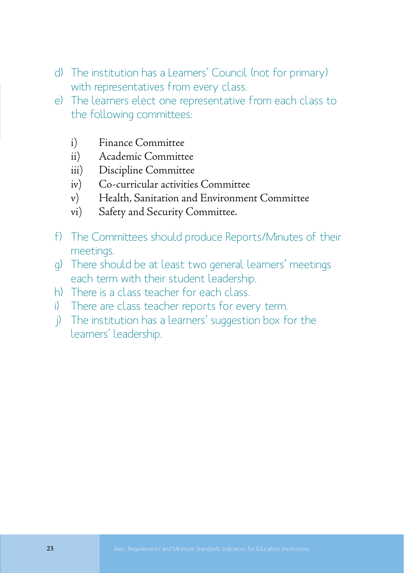- d) The institution has a Learners' Council (not for primary) with representatives from every class.
- e) The learners elect one representative from each class to the following committees:
	- i) Finance Committee
	- ii) Academic Committee
	- iii) Discipline Committee
	- iv) Co-curricular activities Committee
	- v) Health, Sanitation and Environment Committee
	- vi) Safety and Security Committee.
- f) The Committees should produce Reports/Minutes of their meetings.
- g) There should be at least two general learners' meetings each term with their student leadership.
- h) There is a class teacher for each class.
- i) There are class teacher reports for every term.
- j) The institution has a learners' suggestion box for the learners' leadership.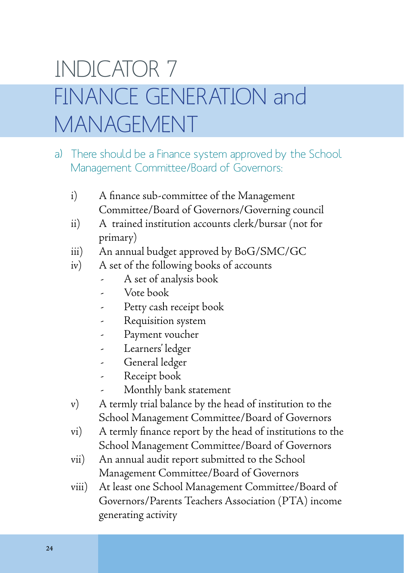## INDICATOR 7 FINANCE GENERATION and MANAGEMENT

- a) There should be a Finance system approved by the School Management Committee/Board of Governors:
	- i) A finance sub-committee of the Management Committee/Board of Governors/Governing council
	- ii) A trained institution accounts clerk/bursar (not for primary)
	- iii) An annual budget approved by BoG/SMC/GC
	- iv) A set of the following books of accounts
		- A set of analysis book
		- Vote book
		- Petty cash receipt book
		- Requisition system
		- Payment voucher
		- Learners' ledger
		- General ledger
		- Receipt book
		- Monthly bank statement
	- v) A termly trial balance by the head of institution to the School Management Committee/Board of Governors
	- vi) A termly finance report by the head of institutions to the School Management Committee/Board of Governors
	- vii) An annual audit report submitted to the School Management Committee/Board of Governors
	- viii) At least one School Management Committee/Board of Governors/Parents Teachers Association (PTA) income generating activity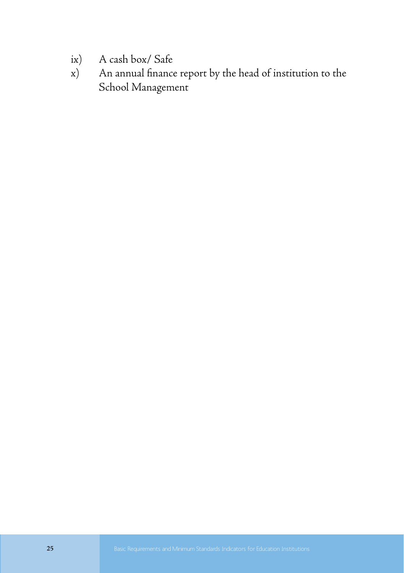- ix) A cash box/ Safe<br>x) An annual finance
- An annual finance report by the head of institution to the School Management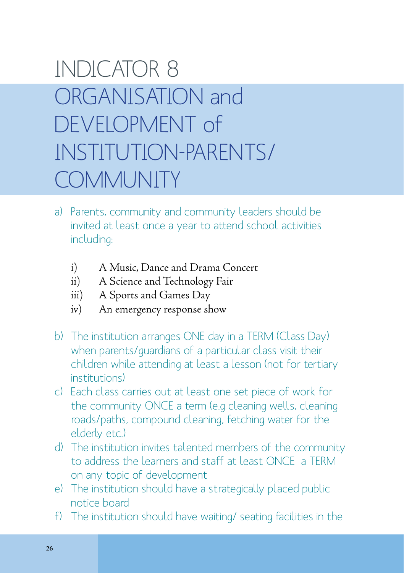# INDICATOR 8 ORGANISATION and DEVELOPMENT of INSTITUTION-PARENTS/ **COMMUNITY**

- a) Parents, community and community leaders should be invited at least once a year to attend school activities including:
	- i) A Music, Dance and Drama Concert
	- ii) A Science and Technology Fair
	- iii) A Sports and Games Day
	- iv) An emergency response show
- b) The institution arranges ONE day in a TERM (Class Day) when parents/guardians of a particular class visit their children while attending at least a lesson (not for tertiary institutions)
- c) Each class carries out at least one set piece of work for the community ONCE a term (e.g cleaning wells, cleaning roads/paths, compound cleaning, fetching water for the elderly etc.)
- d) The institution invites talented members of the community to address the learners and staff at least ONCE a TERM on any topic of development
- e) The institution should have a strategically placed public notice board
- f) The institution should have waiting/ seating facilities in the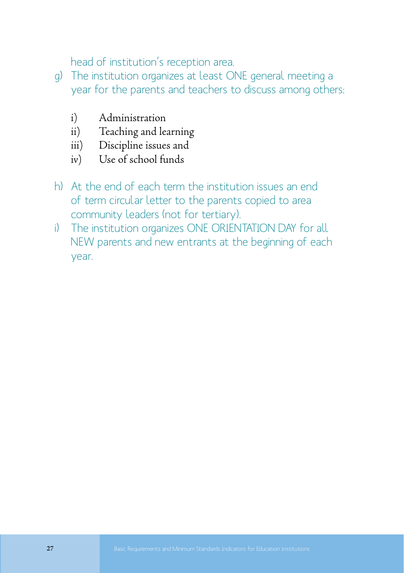head of institution's reception area.

- g) The institution organizes at least ONE general meeting a year for the parents and teachers to discuss among others:
	- i) Administration
	- ii) Teaching and learning
	- iii) Discipline issues and
	- iv) Use of school funds
- h) At the end of each term the institution issues an end of term circular letter to the parents copied to area community leaders (not for tertiary).
- i) The institution organizes ONE ORIENTATION DAY for all NEW parents and new entrants at the beginning of each year.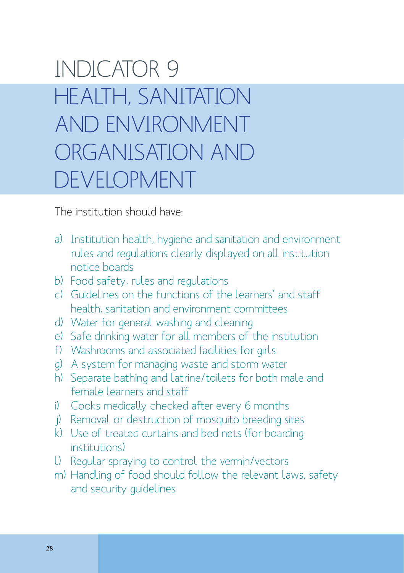### INDICATOR 9 HEALTH, SANITATION AND ENVIRONMENT ORGANISATION AND DEVELOPMENT

- a) Institution health, hygiene and sanitation and environment rules and regulations clearly displayed on all institution notice boards
- b) Food safety, rules and regulations
- c) Guidelines on the functions of the learners' and staff health, sanitation and environment committees
- d) Water for general washing and cleaning
- e) Safe drinking water for all members of the institution
- f) Washrooms and associated facilities for girls
- g) A system for managing waste and storm water
- h) Separate bathing and latrine/toilets for both male and female learners and staff
- i) Cooks medically checked after every 6 months
- j) Removal or destruction of mosquito breeding sites
- k) Use of treated curtains and bed nets (for boarding institutions)
- l) Regular spraying to control the vermin/vectors
- m) Handling of food should follow the relevant laws, safety and security guidelines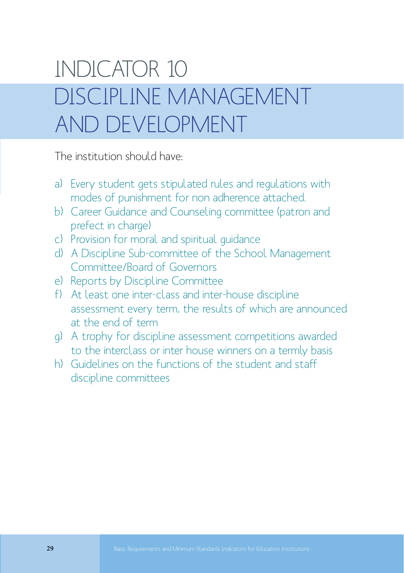### INDICATOR 10 DISCIPLINE MANAGEMENT AND DEVELOPMENT

- a) Every student gets stipulated rules and regulations with modes of punishment for non adherence attached.
- b) Career Guidance and Counseling committee (patron and prefect in charge)
- c) Provision for moral and spiritual guidance
- d) A Discipline Sub-committee of the School Management Committee/Board of Governors
- e) Reports by Discipline Committee
- f) At least one inter-class and inter-house discipline assessment every term, the results of which are announced at the end of term
- g) A trophy for discipline assessment competitions awarded to the interclass or inter house winners on a termly basis
- h) Guidelines on the functions of the student and staff discipline committees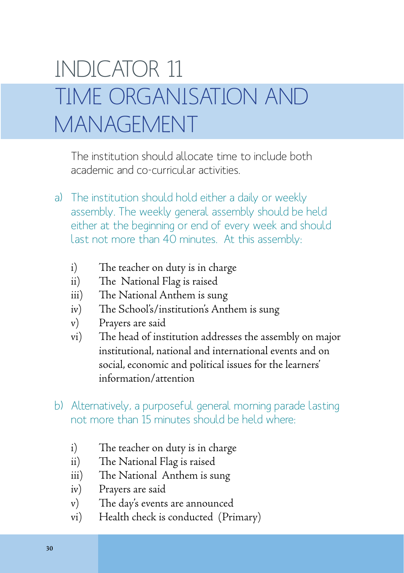## INDICATOR 11 TIME ORGANISATION AND MANAGEMENT

The institution should allocate time to include both academic and co-curricular activities.

- a) The institution should hold either a daily or weekly assembly. The weekly general assembly should be held either at the beginning or end of every week and should last not more than 40 minutes. At this assembly:
	- i) The teacher on duty is in charge
	- ii) The National Flag is raised
	- iii) The National Anthem is sung
	- iv) The School's/institution's Anthem is sung
	- v) Prayers are said
	- vi) The head of institution addresses the assembly on major institutional, national and international events and on social, economic and political issues for the learners' information/attention
- b) Alternatively, a purposeful general morning parade lasting not more than 15 minutes should be held where:
	- i) The teacher on duty is in charge
	- ii) The National Flag is raised
	- iii) The National Anthem is sung
	- iv) Prayers are said
	- v) The day's events are announced
	- vi) Health check is conducted (Primary)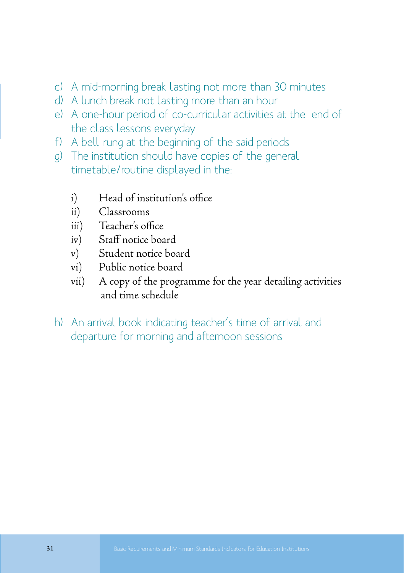- c) A mid-morning break lasting not more than 30 minutes
- d) A lunch break not lasting more than an hour
- e) A one-hour period of co-curricular activities at the end of the class lessons everyday
- f) A bell rung at the beginning of the said periods
- g) The institution should have copies of the general timetable/routine displayed in the:
	- i) Head of institution's office
	- ii) Classrooms
	- iii) Teacher's office
	- iv) Staff notice board
	- v) Student notice board
	- vi) Public notice board
	- vii) A copy of the programme for the year detailing activities and time schedule
- h) An arrival book indicating teacher's time of arrival and departure for morning and afternoon sessions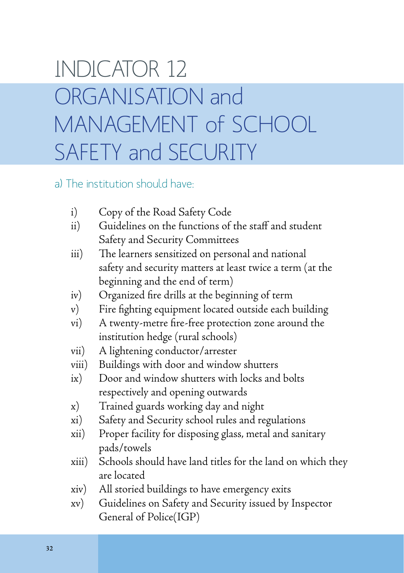# INDICATOR 12 ORGANISATION and MANAGEMENT of SCHOOL SAFETY and SECURITY

- i) Copy of the Road Safety Code
- ii) Guidelines on the functions of the staff and student Safety and Security Committees
- iii) The learners sensitized on personal and national safety and security matters at least twice a term (at the beginning and the end of term)
- iv) Organized fire drills at the beginning of term
- v) Fire fighting equipment located outside each building
- vi) A twenty-metre fire-free protection zone around the institution hedge (rural schools)
- vii) A lightening conductor/arrester
- viii) Buildings with door and window shutters
- ix) Door and window shutters with locks and bolts respectively and opening outwards
- x) Trained guards working day and night
- xi) Safety and Security school rules and regulations
- xii) Proper facility for disposing glass, metal and sanitary pads/towels
- xiii) Schools should have land titles for the land on which they are located
- xiv) All storied buildings to have emergency exits
- xv) Guidelines on Safety and Security issued by Inspector General of Police(IGP)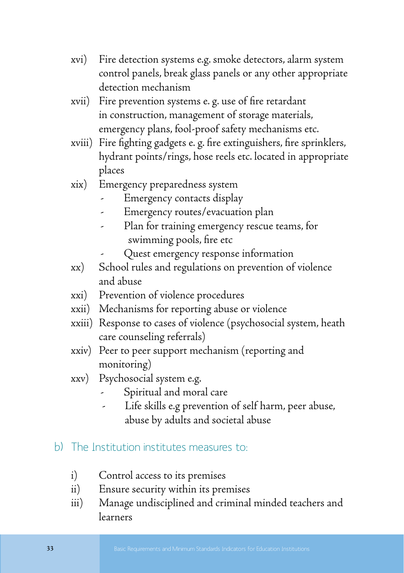- xvi) Fire detection systems e.g. smoke detectors, alarm system control panels, break glass panels or any other appropriate detection mechanism
- xvii) Fire prevention systems e. g. use of fire retardant in construction, management of storage materials, emergency plans, fool-proof safety mechanisms etc.
- xviii) Fire fighting gadgets e. g. fire extinguishers, fire sprinklers, hydrant points/rings, hose reels etc. located in appropriate places
- xix) Emergency preparedness system
	- Emergency contacts display
	- Emergency routes/evacuation plan
	- Plan for training emergency rescue teams, for swimming pools, fire etc
	- Quest emergency response information
- xx) School rules and regulations on prevention of violence and abuse
- xxi) Prevention of violence procedures
- xxii) Mechanisms for reporting abuse or violence
- xxiii) Response to cases of violence (psychosocial system, heath care counseling referrals)
- xxiv) Peer to peer support mechanism (reporting and monitoring)
- xxv) Psychosocial system e.g.
	- Spiritual and moral care
	- Life skills e.g prevention of self harm, peer abuse, abuse by adults and societal abuse
- b) The Institution institutes measures to:
	- i) Control access to its premises
	- ii) Ensure security within its premises
	- iii) Manage undisciplined and criminal minded teachers and learners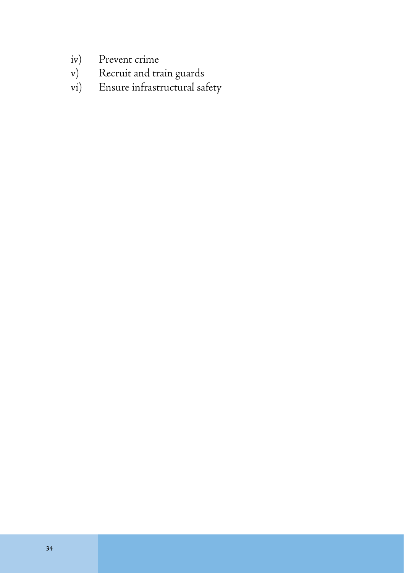- iv) Prevent crime
- v) Recruit and train guards
- vi) Ensure infrastructural safety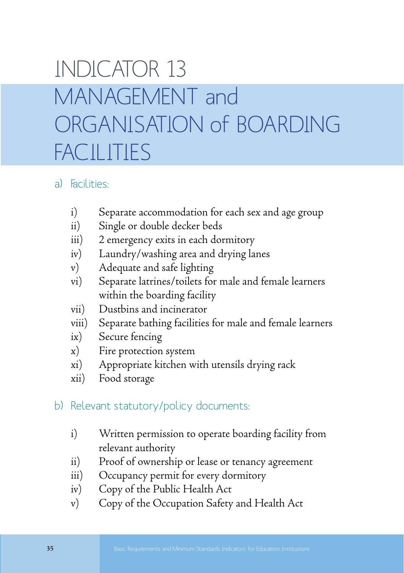# INDICATOR 13 MANAGEMENT and ORGANISATION of BOARDING FACILITIES

#### a) Facilities:

- i) Separate accommodation for each sex and age group
- ii) Single or double decker beds
- iii) 2 emergency exits in each dormitory
- iv) Laundry/washing area and drying lanes
- v) Adequate and safe lighting
- vi) Separate latrines/toilets for male and female learners within the boarding facility
- vii) Dustbins and incinerator
- viii) Separate bathing facilities for male and female learners
- ix) Secure fencing
- x) Fire protection system
- xi) Appropriate kitchen with utensils drying rack
- xii) Food storage

#### b) Relevant statutory/policy documents:

- i) Written permission to operate boarding facility from relevant authority
- ii) Proof of ownership or lease or tenancy agreement
- iii) Occupancy permit for every dormitory
- iv) Copy of the Public Health Act
- v) Copy of the Occupation Safety and Health Act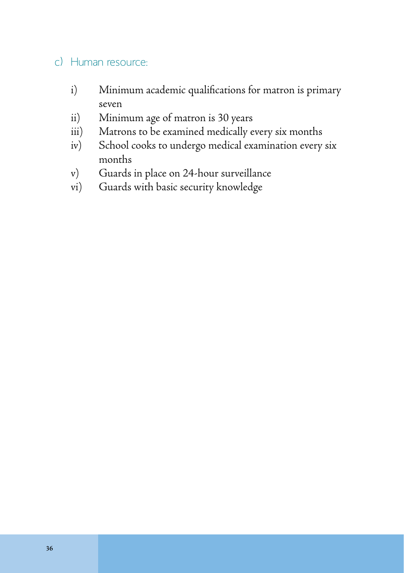#### c) Human resource:

- i) Minimum academic qualifications for matron is primary seven
- ii) Minimum age of matron is 30 years
- iii) Matrons to be examined medically every six months
- iv) School cooks to undergo medical examination every six months
- v) Guards in place on 24-hour surveillance
- vi) Guards with basic security knowledge